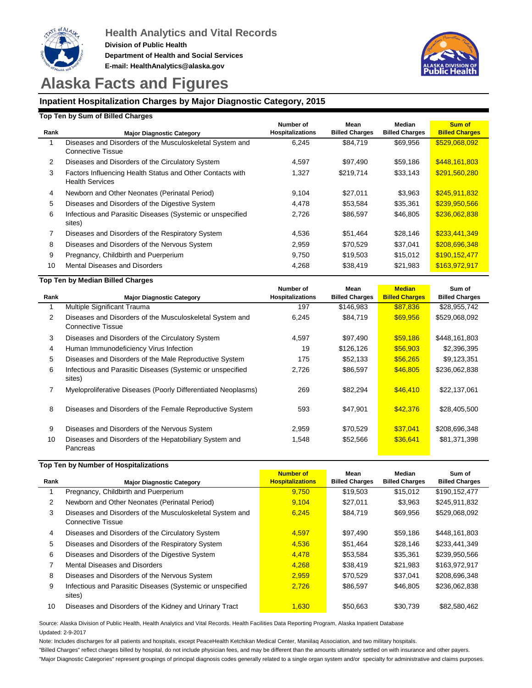



# **Alaska Facts and Figures**

## **Inpatient Hospitalization Charges by Major Diagnostic Category, 2015**

#### **Top Ten by Sum of Billed Charges**

| Rank | <b>Major Diagnostic Category</b>                                                     | Number of<br><b>Hospitalizations</b> | Mean<br><b>Billed Charges</b> | Median<br><b>Billed Charges</b> | Sum of<br><b>Billed Charges</b> |
|------|--------------------------------------------------------------------------------------|--------------------------------------|-------------------------------|---------------------------------|---------------------------------|
|      | Diseases and Disorders of the Musculoskeletal System and<br><b>Connective Tissue</b> | 6,245                                | \$84.719                      | \$69.956                        | \$529,068,092                   |
| 2    | Diseases and Disorders of the Circulatory System                                     | 4,597                                | \$97.490                      | \$59,186                        | \$448,161,803                   |
| 3    | Factors Influencing Health Status and Other Contacts with<br><b>Health Services</b>  | 1,327                                | \$219,714                     | \$33,143                        | \$291,560,280                   |
| 4    | Newborn and Other Neonates (Perinatal Period)                                        | 9,104                                | \$27,011                      | \$3,963                         | \$245,911,832                   |
| 5    | Diseases and Disorders of the Digestive System                                       | 4,478                                | \$53,584                      | \$35,361                        | \$239,950,566                   |
| 6    | Infectious and Parasitic Diseases (Systemic or unspecified<br>sites)                 | 2,726                                | \$86,597                      | \$46,805                        | \$236,062,838                   |
|      | Diseases and Disorders of the Respiratory System                                     | 4.536                                | \$51.464                      | \$28,146                        | \$233,441,349                   |
| 8    | Diseases and Disorders of the Nervous System                                         | 2,959                                | \$70,529                      | \$37,041                        | \$208,696,348                   |
| 9    | Pregnancy, Childbirth and Puerperium                                                 | 9,750                                | \$19,503                      | \$15,012                        | \$190,152,477                   |
| 10   | <b>Mental Diseases and Disorders</b>                                                 | 4,268                                | \$38,419                      | \$21,983                        | \$163,972,917                   |

#### **Top Ten by Median Billed Charges**

| Rank | <b>Major Diagnostic Category</b>                                              | Number of<br><b>Hospitalizations</b> | Mean<br><b>Billed Charges</b> | <b>Median</b><br><b>Billed Charges</b> | Sum of<br><b>Billed Charges</b> |  |  |
|------|-------------------------------------------------------------------------------|--------------------------------------|-------------------------------|----------------------------------------|---------------------------------|--|--|
|      | Multiple Significant Trauma                                                   | 197                                  | \$146,983                     | \$87,836                               | \$28,955,742                    |  |  |
| 2    | Diseases and Disorders of the Musculoskeletal System and<br>Connective Tissue | 6,245                                | \$84,719                      | \$69,956                               | \$529,068,092                   |  |  |
| 3    | Diseases and Disorders of the Circulatory System                              | 4,597                                | \$97,490                      | \$59,186                               | \$448,161,803                   |  |  |
| 4    | Human Immunodeficiency Virus Infection                                        | 19                                   | \$126,126                     | \$56,903                               | \$2,396,395                     |  |  |
| 5    | Diseases and Disorders of the Male Reproductive System                        | 175                                  | \$52,133                      | \$56,265                               | \$9,123,351                     |  |  |
| 6    | Infectious and Parasitic Diseases (Systemic or unspecified<br>sites)          | 2,726                                | \$86,597                      | \$46,805                               | \$236,062,838                   |  |  |
| 7    | Myeloproliferative Diseases (Poorly Differentiated Neoplasms)                 | 269                                  | \$82.294                      | \$46,410                               | \$22,137,061                    |  |  |
| 8    | Diseases and Disorders of the Female Reproductive System                      | 593                                  | \$47,901                      | \$42,376                               | \$28,405,500                    |  |  |
| 9    | Diseases and Disorders of the Nervous System                                  | 2,959                                | \$70,529                      | \$37,041                               | \$208,696,348                   |  |  |
| 10   | Diseases and Disorders of the Hepatobiliary System and<br>Pancreas            | 1,548                                | \$52,566                      | \$36,641                               | \$81,371,398                    |  |  |

#### **Top Ten by Number of Hospitalizations**

|      |                                                                                      | <b>Number of</b>        | Mean                  | Median                | Sum of                |
|------|--------------------------------------------------------------------------------------|-------------------------|-----------------------|-----------------------|-----------------------|
| Rank | <b>Major Diagnostic Category</b>                                                     | <b>Hospitalizations</b> | <b>Billed Charges</b> | <b>Billed Charges</b> | <b>Billed Charges</b> |
|      | Pregnancy, Childbirth and Puerperium                                                 | 9.750                   | \$19,503              | \$15,012              | \$190,152,477         |
| 2    | Newborn and Other Neonates (Perinatal Period)                                        | 9.104                   | \$27,011              | \$3,963               | \$245,911,832         |
| 3    | Diseases and Disorders of the Musculoskeletal System and<br><b>Connective Tissue</b> | 6.245                   | \$84,719              | \$69,956              | \$529,068,092         |
| 4    | Diseases and Disorders of the Circulatory System                                     | 4.597                   | \$97.490              | \$59,186              | \$448.161.803         |
| 5    | Diseases and Disorders of the Respiratory System                                     | 4,536                   | \$51.464              | \$28,146              | \$233,441,349         |
| 6    | Diseases and Disorders of the Digestive System                                       | 4,478                   | \$53,584              | \$35,361              | \$239.950.566         |
|      | Mental Diseases and Disorders                                                        | 4.268                   | \$38,419              | \$21,983              | \$163,972,917         |
| 8    | Diseases and Disorders of the Nervous System                                         | 2.959                   | \$70.529              | \$37.041              | \$208.696.348         |
| 9    | Infectious and Parasitic Diseases (Systemic or unspecified<br>sites)                 | 2,726                   | \$86,597              | \$46,805              | \$236,062,838         |
| 10   | Diseases and Disorders of the Kidney and Urinary Tract                               | 1.630                   | \$50,663              | \$30,739              | \$82.580.462          |

Updated: 2-9-2017 Source: Alaska Division of Public Health, Health Analytics and Vital Records. Health Facilities Data Reporting Program, Alaska Inpatient Database

Note: Includes discharges for all patients and hospitals, except PeaceHealth Ketchikan Medical Center, Maniilaq Association, and two military hospitals.

"Billed Charges" reflect charges billed by hospital, do not include physician fees, and may be different than the amounts ultimately settled on with insurance and other payers.

"Major Diagnostic Categories" represent groupings of principal diagnosis codes generally related to a single organ system and/or specialty for administrative and claims purposes.